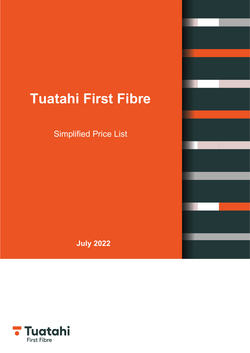# **Tuatahi First Fibre**

Simplified Price List

**July 2022**

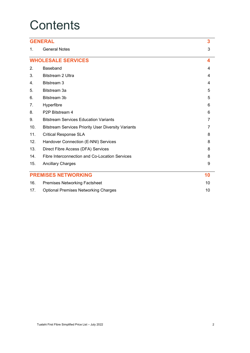## **Contents**

|                | <b>GENERAL</b>                                             | 3              |
|----------------|------------------------------------------------------------|----------------|
| $\mathbf{1}$ . | <b>General Notes</b>                                       | 3              |
|                | <b>WHOLESALE SERVICES</b>                                  | 4              |
| 2.             | Baseband                                                   | 4              |
| 3.             | <b>Bitstream 2 Ultra</b>                                   | 4              |
| 4.             | Bitstream 3                                                | 4              |
| 5.             | Bitstream 3a                                               | 5              |
| 6.             | Bitstream 3b                                               | 5              |
| 7.             | Hyperfibre                                                 | 6              |
| 8.             | P2P Bitstream 4                                            | 6              |
| 9.             | <b>Bitstream Services Education Variants</b>               | 7              |
| 10.            | <b>Bitstream Services Priority User Diversity Variants</b> | $\overline{7}$ |
| 11.            | <b>Critical Response SLA</b>                               | 8              |
| 12.            | Handover Connection (E-NNI) Services                       | 8              |
| 13.            | Direct Fibre Access (DFA) Services                         | 8              |
| 14.            | Fibre Interconnection and Co-Location Services             | 8              |
| 15.            | <b>Ancillary Charges</b>                                   | 9              |
|                | <b>PREMISES NETWORKING</b>                                 | 10             |
| 16.            | <b>Premises Networking Factsheet</b>                       | 10             |
| 17.            | <b>Optional Premises Networking Charges</b>                | 10             |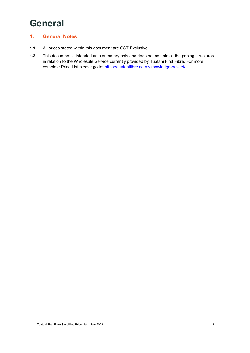## <span id="page-2-0"></span>**General**

#### <span id="page-2-1"></span>**1. General Notes**

- **1.1** All prices stated within this document are GST Exclusive.
- **1.2** This document is intended as a summary only and does not contain all the pricing structures in relation to the Wholesale Service currently provided by Tuatahi First Fibre. For more complete Price List please go to:<https://tuatahifibre.co.nz/knowledge-basket/>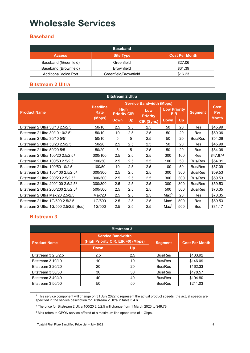### <span id="page-3-0"></span>**Wholesale Services**

#### <span id="page-3-1"></span>**Baseband**

| <b>Baseband</b>              |                       |                       |  |  |  |  |  |  |
|------------------------------|-----------------------|-----------------------|--|--|--|--|--|--|
| <b>Access</b>                | <b>Site Type</b>      | <b>Cost Per Month</b> |  |  |  |  |  |  |
| Baseband (Greenfield)        | Greenfield            | \$27.06               |  |  |  |  |  |  |
| Baseband (Brownfield)        | <b>Brownfield</b>     | \$31.39               |  |  |  |  |  |  |
| <b>Additional Voice Port</b> | Greenfield/Brownfield | \$16.23               |  |  |  |  |  |  |

#### <span id="page-3-2"></span>**Bitstream 2 Ultra**

| <b>Bitstream 2 Ultra</b>                       |                                |                                    |     |                                 |                                   |     |                |                      |
|------------------------------------------------|--------------------------------|------------------------------------|-----|---------------------------------|-----------------------------------|-----|----------------|----------------------|
|                                                |                                |                                    |     | <b>Service Bandwidth (Mbps)</b> |                                   |     |                |                      |
| <b>Product Name</b>                            | <b>Headline</b><br><b>Rate</b> | <b>High</b><br><b>Priority CIR</b> |     | Low<br><b>Priority</b>          | <b>Low Priority</b><br><b>EIR</b> |     | <b>Segment</b> | <b>Cost</b><br>Per   |
|                                                | (Mbps)                         | <b>Down</b>                        | Up  | CIR (Sym.)                      | <b>Down</b>                       | Up  |                | <b>Month</b>         |
| Bitstream 2 Ultra 30/10 2.5/2.5 <sup>1</sup>   | 50/10                          | 2.5                                | 2.5 | 2.5                             | 50                                | 20  | <b>Res</b>     | \$45.99              |
| Bitstream 2 Ultra 30/10 10/2.5 <sup>1</sup>    | 50/10                          | 10                                 | 2.5 | 2.5                             | 50                                | 20  | Res            | \$50.06              |
| Bitstream 2 Ultra $30/10$ 5/5 <sup>1</sup>     | 50/10                          | 5                                  | 5   | 2.5                             | 50                                | 20  | Bus/Res        | \$54.06              |
| Bitstream 2 Ultra 50/20 2.5/2.5                | 50/20                          | 2.5                                | 2.5 | 2.5                             | 50                                | 20  | <b>Res</b>     | \$45.99              |
| Bitstream 2 Ultra 50/20 5/5                    | 50/20                          | 5                                  | 5   | 2.5                             | 50                                | 20  | <b>Bus</b>     | \$54.06              |
| Bitstream 2 Ultra 100/20 2.5/2.5 <sup>1</sup>  | 300/100                        | 2.5                                | 2.5 | 2.5                             | 300                               | 100 | Res            | \$47.87 <sup>2</sup> |
| Bitstream 2 Ultra 100/50 2.5/2.5               | 100/50                         | 2.5                                | 2.5 | 2.5                             | 100                               | 50  | Bus/Res        | \$54.01              |
| Bitstream 2 Ultra 100/50 10/2.5                | 100/50                         | 10                                 | 2.5 | 2.5                             | 100                               | 50  | Bus/Res        | \$57.09              |
| Bitstream 2 Ultra 100/100 2.5/2.5 <sup>1</sup> | 300/300                        | 2.5                                | 2.5 | 2.5                             | 300                               | 300 | Bus/Res        | \$59.53              |
| Bitstream 2 Ultra 200/20 2.5/2.5 <sup>1</sup>  | 300/300                        | 2.5                                | 2.5 | 2.5                             | 300                               | 300 | Bus/Res        | \$59.53              |
| Bitstream 2 Ultra 200/100 2.5/2.5 <sup>1</sup> | 300/300                        | 2.5                                | 2.5 | 2.5                             | 300                               | 300 | <b>Bus/Res</b> | \$59.53              |
| Bitstream 2 Ultra 200/200 2.5/2.5 <sup>1</sup> | 500/500                        | 2.5                                | 2.5 | 2.5                             | 500                               | 500 | Bus/Res        | \$70.35              |
| Bitstream 2 Ultra Max/20 2.5/2.5               | Max/20                         | 2.5                                | 2.5 | 2.5                             | Max <sup>3</sup>                  | 20  | <b>Res</b>     | \$70.35              |
| Bitstream 2 Ultra 1G/500 2.5/2.5               | 1G/500                         | 2.5                                | 2.5 | 2.5                             | Max <sup>3</sup>                  | 500 | <b>Res</b>     | \$59.53              |
| Bitstream 2 Ultra 1G/500 2.5/2.5 (Bus)         | 1G/500                         | 2.5                                | 2.5 | 2.5                             | Max <sup>3</sup>                  | 500 | <b>Bus</b>     | \$81.17              |

#### <span id="page-3-3"></span>**Bitstream 3**

| <b>Bitstream 3</b>  |                                                                |     |                |                       |  |  |  |  |
|---------------------|----------------------------------------------------------------|-----|----------------|-----------------------|--|--|--|--|
| <b>Product Name</b> | <b>Service Bandwidth</b><br>(High Priority CIR, EIR =0) (Mbps) |     | <b>Segment</b> | <b>Cost Per Month</b> |  |  |  |  |
|                     | <b>Down</b>                                                    | Up  |                |                       |  |  |  |  |
| Bitstream 3 2.5/2.5 | 2.5                                                            | 2.5 | Bus/Res        | \$133.92              |  |  |  |  |
| Bitstream 3 10/10   | 10                                                             | 10  | Bus/Res        | \$146.09              |  |  |  |  |
| Bitstream 3 20/20   | 20                                                             | 20  | Bus/Res        | \$162.33              |  |  |  |  |
| Bitstream 3 30/30   | 30                                                             | 30  | Bus/Res        | \$178.57              |  |  |  |  |
| Bitstream 3 40/40   | 40                                                             | 40  | <b>Bus/Res</b> | \$194.80              |  |  |  |  |
| Bitstream 3 50/50   | 50                                                             | 50  | <b>Bus/Res</b> | \$211.03              |  |  |  |  |

<span id="page-3-4"></span><sup>1</sup> This service component will change on 31 July 2022 to represent the actual product speeds, the actual speeds are specified in the service description for Bitstream 2 Ultra in table 3.4.6

<span id="page-3-5"></span><sup>2</sup> The price for Bitstream 2 Ultra 100/20 2.5/2.5 will change from 1 March 2023 to \$49.78.

<span id="page-3-6"></span><sup>&</sup>lt;sup>3</sup> Max refers to GPON service offered at a maximum line speed rate of 1 Gbps.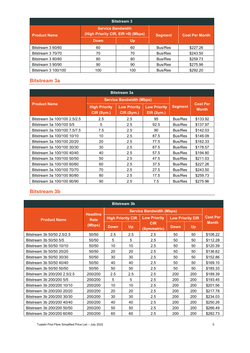| <b>Bitstream 3</b>  |                                                                |     |                |                        |  |  |  |  |
|---------------------|----------------------------------------------------------------|-----|----------------|------------------------|--|--|--|--|
| <b>Product Name</b> | <b>Service Bandwidth</b><br>(High Priority CIR, EIR =0) (Mbps) |     | <b>Segment</b> | <b>Cost Per Month.</b> |  |  |  |  |
|                     | Down                                                           | Up  |                |                        |  |  |  |  |
| Bitstream 3 60/60   | 60                                                             | 60  | Bus/Res        | \$227.26               |  |  |  |  |
| Bitstream 3 70/70   | 70                                                             | 70  | Bus/Res        | \$243.50               |  |  |  |  |
| Bitstream 3 80/80   | 80                                                             | 80  | Bus/Res        | \$259.73               |  |  |  |  |
| Bitstream 3 90/90   | 90                                                             | 90  | Bus/Res        | \$275.96               |  |  |  |  |
| Bitstream 3 100/100 | 100                                                            | 100 | Bus/Res        | \$292.20               |  |  |  |  |

#### <span id="page-4-0"></span>**Bitstream 3a**

| <b>Bitstream 3a</b>          |                                                                                                              |                                 |                |                                 |          |  |  |  |  |
|------------------------------|--------------------------------------------------------------------------------------------------------------|---------------------------------|----------------|---------------------------------|----------|--|--|--|--|
|                              |                                                                                                              | <b>Service Bandwidth (Mbps)</b> |                |                                 |          |  |  |  |  |
| <b>Product Name</b>          | <b>Low Priority</b><br><b>Low Priority</b><br><b>High Priority</b><br>CIR (Sym.)<br>CIR (Sym.)<br>EIR (Sym.) |                                 | <b>Segment</b> | <b>Cost Per</b><br><b>Month</b> |          |  |  |  |  |
| Bitstream 3a 100/100 2.5/2.5 | 2.5                                                                                                          | 2.5                             | 95             | Bus/Res                         | \$133.92 |  |  |  |  |
| Bitstream 3a 100/100 5/5     | 5                                                                                                            | 2.5                             | 92.5           | Bus/Res                         | \$137.97 |  |  |  |  |
| Bitstream 3a 100/100 7.5/7.5 | 7.5                                                                                                          | 2.5                             | 90             | Bus/Res                         | \$142.03 |  |  |  |  |
| Bitstream 3a 100/100 10/10   | 10                                                                                                           | 2.5                             | 87.5           | Bus/Res                         | \$146.09 |  |  |  |  |
| Bitstream 3a 100/100 20/20   | 20                                                                                                           | 2.5                             | 77.5           | Bus/Res                         | \$162.33 |  |  |  |  |
| Bitstream 3a 100/100 30/30   | 30                                                                                                           | 2.5                             | 67.5           | <b>Bus/Res</b>                  | \$178.57 |  |  |  |  |
| Bitstream 3a 100/100 40/40   | 40                                                                                                           | 2.5                             | 57.5           | Bus/Res                         | \$194.80 |  |  |  |  |
| Bitstream 3a 100/100 50/50   | 50                                                                                                           | 2.5                             | 47.5           | Bus/Res                         | \$211.03 |  |  |  |  |
| Bitstream 3a 100/100 60/60   | 60                                                                                                           | 2.5                             | 37.5           | Bus/Res                         | \$227.26 |  |  |  |  |
| Bitstream 3a 100/100 70/70   | 70                                                                                                           | 2.5                             | 27.5           | Bus/Res                         | \$243.50 |  |  |  |  |
| Bitstream 3a 100/100 80/80   | 80                                                                                                           | 2.5                             | 17.5           | Bus/Res                         | \$259.73 |  |  |  |  |
| Bitstream 3a 100/100 90/90   | 90                                                                                                           | 2.5                             | 7.5            | Bus/Res                         | \$275.96 |  |  |  |  |

#### <span id="page-4-1"></span>**Bitstream 3b**

| <b>Bitstream 3b</b>          |                 |                          |     |                           |                         |     |                 |  |
|------------------------------|-----------------|--------------------------|-----|---------------------------|-------------------------|-----|-----------------|--|
|                              | <b>Headline</b> |                          |     |                           |                         |     |                 |  |
| <b>Product Name</b>          | <b>Rate</b>     | <b>High Priority CIR</b> |     | <b>Low Priority</b>       | <b>Low Priority EIR</b> |     | <b>Cost Per</b> |  |
|                              | (Mbps)          | Up<br><b>Down</b>        |     | <b>CIR</b><br>(Symmetric) | <b>Down</b>             | Up  | <b>Month</b>    |  |
| Bitstream 3b 50/50 2.5/2.5   | 50/50           | 2.5                      | 2.5 | 2.5                       | 50                      | 50  | \$108.22        |  |
| Bitstream 3b 50/50 5/5       | 50/50           | 5                        | 5   | 2.5                       | 50                      | 50  | \$112.28        |  |
| Bitstream 3b 50/50 10/10     | 50/50           | 10                       | 10  | 2.5                       | 50                      | 50  | \$120.39        |  |
| Bitstream 3b 50/50 20/20     | 50/50           | 20                       | 20  | 2.5                       | 50                      | 50  | \$136.62        |  |
| Bitstream 3b 50/50 30/30     | 50/50           | 30                       | 30  | 2.5                       | 50                      | 50  | \$152.86        |  |
| Bitstream 3b 50/50 40/40     | 50/50           | 40                       | 40  | 2.5                       | 50                      | 50  | \$169.10        |  |
| Bitstream 3b 50/50 50/50     | 50/50           | 50                       | 50  | 2.5                       | 50                      | 50  | \$185.33        |  |
| Bitstream 3b 200/200 2.5/2.5 | 200/200         | 2.5                      | 2.5 | 2.5                       | 200                     | 200 | \$189.39        |  |
| Bitstream 3b 200/200 5/5     | 200/200         | 5                        | 5   | $2.5\,$                   | 200                     | 200 | \$193.45        |  |
| Bitstream 3b 200/200 10/10   | 200/200         | 10                       | 10  | 2.5                       | 200                     | 200 | \$201.56        |  |
| Bitstream 3b 200/200 20/20   | 200/200         | 20                       | 20  | 2.5                       | 200                     | 200 | \$217.78        |  |
| Bitstream 3b 200/200 30/30   | 200/200         | 30                       | 30  | 2.5                       | 200                     | 200 | \$234.03        |  |
| Bitstream 3b 200/200 40/40   | 200/200         | 40                       | 40  | 2.5                       | 200                     | 200 | \$250.26        |  |
| Bitstream 3b 200/200 50/50   | 200/200         | 50                       | 50  | $2.5\,$                   | 200                     | 200 | \$266.49        |  |
| Bitstream 3b 200/200 60/60   | 200/200         | 60                       | 60  | 2.5                       | 200                     | 200 | \$282.73        |  |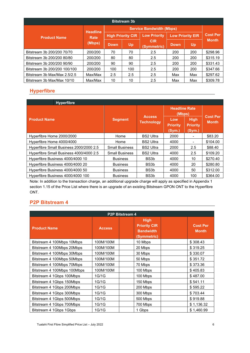| <b>Bitstream 3b</b>          |                 |                          |                                 |                           |                  |     |                 |  |  |
|------------------------------|-----------------|--------------------------|---------------------------------|---------------------------|------------------|-----|-----------------|--|--|
|                              | <b>Headline</b> |                          | <b>Service Bandwidth (Mbps)</b> |                           |                  |     |                 |  |  |
| <b>Product Name</b>          | Rate            | <b>High Priority CIR</b> |                                 | <b>Low Priority</b>       | Low Priority EIR |     | <b>Cost Per</b> |  |  |
|                              | (Mbps)          | <b>Down</b>              | Up                              | <b>CIR</b><br>(Symmetric) | Down             | Up  | <b>Month</b>    |  |  |
| Bitstream 3b 200/200 70/70   | 200/200         | 70                       | 70                              | 2.5                       | 200              | 200 | \$298.96        |  |  |
| Bitstream 3b 200/200 80/80   | 200/200         | 80                       | 80                              | 2.5                       | 200              | 200 | \$315.19        |  |  |
| Bitstream 3b 200/200 90/90   | 200/200         | 90                       | 90                              | 2.5                       | 200              | 200 | \$331.43        |  |  |
| Bitstream 3b 200/200 100/100 | 200/200         | 100                      | 100                             | 2.5                       | 200              | 200 | \$347.66        |  |  |
| Bitstream 3b Max/Max 2.5/2.5 | Max/Max         | 2.5                      | 2.5                             | 2.5                       | Max              | Max | \$297.62        |  |  |
| Bitstream 3b Max/Max 10/10   | Max/Max         | 10                       | 10                              | 2.5                       | Max              | Max | \$309.78        |  |  |

#### <span id="page-5-0"></span>**Hyperfibre**

| <b>Hyperfibre</b>                       |                       |                                    |                                  |                                          |                                 |
|-----------------------------------------|-----------------------|------------------------------------|----------------------------------|------------------------------------------|---------------------------------|
|                                         |                       |                                    | <b>Headline Rate</b><br>(Mbps)   |                                          |                                 |
| <b>Product Name</b>                     | <b>Segment</b>        | <b>Access</b><br><b>Technology</b> | Low<br><b>Priority</b><br>(Sym.) | <b>High</b><br><b>Priority</b><br>(Sym.) | <b>Cost Per</b><br><b>Month</b> |
| Hyperfibre Home 2000/2000               | Home                  | <b>BS2 Ultra</b>                   | 2000                             |                                          | \$83.20                         |
| Hyperfibre Home 4000/4000               | Home                  | <b>BS2 Ultra</b>                   | 4000                             |                                          | \$104.00                        |
| Hyperfibre Small Business 2000/2000 2.5 | <b>Small Business</b> | <b>BS2 Ultra</b>                   | 2000                             | 2.5                                      | \$88.40                         |
| Hyperfibre Small Business 4000/4000 2.5 | <b>Small Business</b> | <b>BS2 Ultra</b>                   | 4000                             | 2.5                                      | \$109.20                        |
| Hyperfibre Business 4000/4000 10        | <b>Business</b>       | BS3b                               | 4000                             | 10                                       | \$270.40                        |
| Hyperfibre Business 4000/4000 20        | <b>Business</b>       | BS3b                               | 4000                             | 20                                       | \$280.80                        |
| Hyperfibre Business 4000/4000 50        | <b>Business</b>       | BS3b                               | 4000                             | 50                                       | \$312.00                        |
| Hyperfibre Business 4000/4000 100       | <b>Business</b>       | BS3b                               | 4000                             | 100                                      | \$364.00                        |

Note: In addition to the transaction charge, an additional upgrade charge will apply as specified in Appendix 1 section 1.15 of the Price List where there is an upgrade of an existing Bitstream GPON ONT to the Hyperfibre ONT.

#### <span id="page-5-1"></span>**P2P Bitstream 4**

| <b>P2P Bitstream 4</b>      |               |  |                                                                       |  |                                 |  |  |
|-----------------------------|---------------|--|-----------------------------------------------------------------------|--|---------------------------------|--|--|
| <b>Product Name</b>         | <b>Access</b> |  | <b>High</b><br><b>Priority CIR</b><br><b>Bandwidth</b><br>(Symmetric) |  | <b>Cost Per</b><br><b>Month</b> |  |  |
| Bitstream 4 100Mbps 10Mbps  | 100M/100M     |  | 10 Mbps                                                               |  | \$308.43                        |  |  |
| Bitstream 4 100Mbps 20Mbps  | 100M/100M     |  | 20 Mbps                                                               |  | \$319.25                        |  |  |
| Bitstream 4 100Mbps 30Mbps  | 100M/100M     |  | 30 Mbps                                                               |  | \$330.07                        |  |  |
| Bitstream 4 100Mbps 50Mbps  | 100M/100M     |  | 50 Mbps                                                               |  | \$351.72                        |  |  |
| Bitstream 4 100Mbps 70Mbps  | 100M/100M     |  | 70 Mbps                                                               |  | \$373.36                        |  |  |
| Bitstream 4 100Mbps 100Mbps | 100M/100M     |  | 100 Mbps                                                              |  | \$405.83                        |  |  |
| Bitstream 4 1Gbps 100Mbps   | 1G/1G         |  | 100 Mbps                                                              |  | \$487.00                        |  |  |
| Bitstream 4 1Gbps 150Mbps   | 1G/1G         |  | 150 Mbps                                                              |  | \$541.11                        |  |  |
| Bitstream 4 1Gbps 200Mbps   | 1G/1G         |  | 200 Mbps                                                              |  | \$595.22                        |  |  |
| Bitstream 4 1Gbps 300Mbps   | 1G/1G         |  | 300 Mbps                                                              |  | \$703.44                        |  |  |
| Bitstream 4 1Gbps 500Mbps   | 1G/1G         |  | 500 Mbps                                                              |  | \$919.88                        |  |  |
| Bitstream 4 1 Gbps 700 Mbps | 1G/1G         |  | 700 Mbps                                                              |  | \$1,136.32                      |  |  |
| Bitstream 4 1 Gbps 1 Gbps   | 1G/1G         |  | 1 Gbps                                                                |  | \$1,460.99                      |  |  |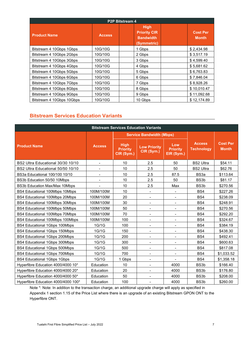| <b>P2P Bitstream 4</b>    |               |                                                                       |                                 |  |  |  |  |  |
|---------------------------|---------------|-----------------------------------------------------------------------|---------------------------------|--|--|--|--|--|
| <b>Product Name</b>       | <b>Access</b> | <b>High</b><br><b>Priority CIR</b><br><b>Bandwidth</b><br>(Symmetric) | <b>Cost Per</b><br><b>Month</b> |  |  |  |  |  |
| Bitstream 4 10Gbps 1Gbps  | 10G/10G       | 1 Gbps                                                                | \$2,434.98                      |  |  |  |  |  |
| Bitstream 4 10Gbps 2Gbps  | 10G/10G       | 2 Gbps                                                                | \$3,517.19                      |  |  |  |  |  |
| Bitstream 4 10Gbps 3Gbps  | 10G/10G       | 3 Gbps                                                                | \$4.599.40                      |  |  |  |  |  |
| Bitstream 4 10Gbps 4Gbps  | 10G/10G       | 4 Gbps                                                                | \$5,681.62                      |  |  |  |  |  |
| Bitstream 4 10Gbps 5Gbps  | 10G/10G       | 5 Gbps                                                                | \$6,763.83                      |  |  |  |  |  |
| Bitstream 4 10Gbps 6Gbps  | 10G/10G       | 6 Gbps                                                                | \$7,846.04                      |  |  |  |  |  |
| Bitstream 4 10Gbps 7Gbps  | 10G/10G       | 7 Gbps                                                                | \$8.928.26                      |  |  |  |  |  |
| Bitstream 4 10Gbps 8Gbps  | 10G/10G       | 8 Gbps                                                                | \$10,010.47                     |  |  |  |  |  |
| Bitstream 4 10Gbps 9Gbps  | 10G/10G       | 9 Gbps                                                                | \$11,092.68                     |  |  |  |  |  |
| Bitstream 4 10Gbps 10Gbps | 10G/10G       | 10 Gbps                                                               | \$12,174.89                     |  |  |  |  |  |

#### <span id="page-6-0"></span>**Bitstream Services Education Variants**

| <b>Bitstream Services Education Variants</b> |                |                                              |                                   |                                      |                                    |                                 |  |  |
|----------------------------------------------|----------------|----------------------------------------------|-----------------------------------|--------------------------------------|------------------------------------|---------------------------------|--|--|
|                                              |                |                                              | <b>Service Bandwidth (Mbps)</b>   |                                      |                                    |                                 |  |  |
| <b>Product Name</b>                          | <b>Access</b>  | <b>High</b><br><b>Priority</b><br>CIR (Sym.) | <b>Low Priority</b><br>CIR (Sym.) | Low<br><b>Priority</b><br>EIR (Sym.) | <b>Access</b><br><b>Technology</b> | <b>Cost Per</b><br><b>Month</b> |  |  |
| BS2 Ultra Educational 30/30 10/10            | $\blacksquare$ | 10                                           | 2.5                               | 50                                   | <b>BS2 Ultra</b>                   | \$54.11                         |  |  |
| BS2 Ultra Educational 50/50 10/10            | $\blacksquare$ | 10                                           | 2.5                               | 50                                   | <b>BS2 Ultra</b>                   | \$62.76                         |  |  |
| BS3a Educational 100/100 10/10               |                | 10                                           | 2.5                               | 87.5                                 | BS3a                               | \$113.64                        |  |  |
| BS3b Education 50/50 10Mbps                  | $\blacksquare$ | 10                                           | 2.5                               | 50                                   | BS3b                               | \$81.17                         |  |  |
| BS3b Education Max/Max 10Mbps                |                | 10                                           | 2.5                               | Max                                  | BS3b                               | \$270.56                        |  |  |
| BS4 Educational 100Mbps 10Mbps               | 100M/100M      | 10                                           | $\blacksquare$                    | $\overline{\phantom{a}}$             | BS4                                | \$227.26                        |  |  |
| BS4 Educational 100Mbps 20Mbps               | 100M/100M      | 20                                           | $\blacksquare$                    |                                      | BS4                                | \$238.09                        |  |  |
| BS4 Educational 100Mbps 30Mbps               | 100M/100M      | 30                                           | $\overline{\phantom{0}}$          |                                      | BS4                                | \$248.91                        |  |  |
| BS4 Educational 100Mbps 50Mbps               | 100M/100M      | 50                                           | $\overline{\phantom{a}}$          | $\blacksquare$                       | BS4                                | \$270.56                        |  |  |
| BS4 Educational 100Mbps 70Mbps               | 100M/100M      | 70                                           | $\overline{\phantom{a}}$          |                                      | BS4                                | \$292.20                        |  |  |
| BS4 Educational 100Mbps 100Mbps              | 100M/100M      | 100                                          | $\qquad \qquad \blacksquare$      |                                      | BS4                                | \$324.67                        |  |  |
| <b>BS4 Educational 1Gbps 100Mbps</b>         | 1G/1G          | 100                                          | $\overline{\phantom{0}}$          |                                      | BS4                                | \$384.19                        |  |  |
| BS4 Educational 1Gbps 150Mbps                | 1G/1G          | 150                                          | $\overline{\phantom{a}}$          | $\overline{\phantom{a}}$             | BS4                                | \$438.30                        |  |  |
| BS4 Educational 1Gbps 200Mbps                | 1G/1G          | 200                                          | $\overline{\phantom{a}}$          | $\blacksquare$                       | BS4                                | \$492.41                        |  |  |
| <b>BS4 Educational 1Gbps 300Mbps</b>         | 1G/1G          | 300                                          | $\overline{\phantom{a}}$          |                                      | BS4                                | \$600.63                        |  |  |
| BS4 Educational 1Gbps 500Mbps                | 1G/1G          | 500                                          | $\overline{\phantom{a}}$          |                                      | BS4                                | \$817.08                        |  |  |
| <b>BS4 Educational 1Gbps 700Mbps</b>         | 1G/1G          | 700                                          | $\blacksquare$                    | $\overline{\phantom{a}}$             | BS4                                | \$1,033.52                      |  |  |
| <b>BS4 Educational 1Gbps 1Gbps</b>           | 1G/1G          | 1 Gbps                                       | $\overline{\phantom{a}}$          |                                      | BS4                                | \$1,358.18                      |  |  |
| Hyperfibre Education 4000/4000 10*           | Education      | 10                                           |                                   | 4000                                 | BS3b                               | \$166.40                        |  |  |
| Hyperfibre Education 4000/4000 20*           | Education      | 20                                           | $\overline{\phantom{a}}$          | 4000                                 | BS3b                               | \$176.80                        |  |  |
| Hyperfibre Education 4000/4000 50*           | Education      | 50                                           | $\overline{\phantom{a}}$          | 4000                                 | BS3b                               | \$208.00                        |  |  |
| Hyperfibre Education 4000/4000 100*          | Education      | 100                                          | $\qquad \qquad \blacksquare$      | 4000                                 | BS3b                               | \$260.00                        |  |  |

<span id="page-6-1"></span>Note \*: Note: In addition to the transaction charge, an additional upgrade charge will apply as specified in Appendix 1 section 1.15 of the Price List where there is an upgrade of an existing Bitstream GPON ONT to the Hyperfibre ONT.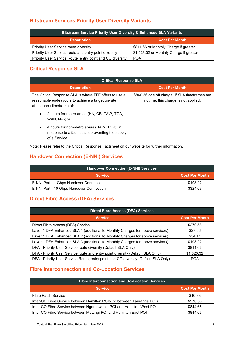#### **Bitstream Services Priority User Diversity Variants**

| <b>Bitstream Service Priority User Diversity &amp; Enhanced SLA Variants</b> |                                         |  |  |
|------------------------------------------------------------------------------|-----------------------------------------|--|--|
| <b>Description</b>                                                           | <b>Cost Per Month</b>                   |  |  |
| Priority User Service route diversity                                        | \$811.66 or Monthly Charge if greater   |  |  |
| Priority User Service route and entry point diversity                        | \$1,623.32 or Monthly Charge if greater |  |  |
| Priority User Service Route, entry point and CO diversity                    | <b>POA</b>                              |  |  |

#### <span id="page-7-0"></span>**Critical Response SLA**

| <b>Critical Response SLA</b>                                                                                                              |                                                                                       |  |  |
|-------------------------------------------------------------------------------------------------------------------------------------------|---------------------------------------------------------------------------------------|--|--|
| <b>Description</b>                                                                                                                        | <b>Cost Per Month</b>                                                                 |  |  |
| The Critical Response SLA is where TFF offers to use all<br>reasonable endeavours to achieve a target on-site<br>attendance timeframe of: | \$860.36 one off charge. If SLA timeframes are<br>not met this charge is not applied. |  |  |
| 2 hours for metro areas (HN, CB, TAW, TGA,<br>$\bullet$<br>WAN, NP); or                                                                   |                                                                                       |  |  |
| 4 hours for non-metro areas (HAW, TOK), in<br>$\bullet$<br>response to a fault that is preventing the supply<br>of a Service.             |                                                                                       |  |  |

<span id="page-7-1"></span>Note: Please refer to the Critical Response Factsheet on our website for further information.

#### **Handover Connection (E-NNI) Services**

| <b>Handover Connection (E-NNI) Services</b> |                       |
|---------------------------------------------|-----------------------|
| <b>Service</b>                              | <b>Cost Per Month</b> |
| E-NNI Port - 1 Gbps Handover Connection     | \$108.22              |
| E-NNI Port - 10 Gbps Handover Connection    | \$324.67              |

#### <span id="page-7-2"></span>**Direct Fibre Access (DFA) Services**

| <b>Direct Fibre Access (DFA) Services</b>                                          |                       |  |  |
|------------------------------------------------------------------------------------|-----------------------|--|--|
| <b>Service</b>                                                                     | <b>Cost Per Month</b> |  |  |
| Direct Fibre Access (DFA) Service                                                  | \$270.56              |  |  |
| Layer 1 DFA Enhanced SLA 1 (additional to Monthly Charges for above services)      | \$27.06               |  |  |
| Layer 1 DFA Enhanced SLA 2 (additional to Monthly Charges for above services)      | \$54.11               |  |  |
| Layer 1 DFA Enhanced SLA 3 (additional to Monthly Charges for above services)      | \$108.22              |  |  |
| DFA - Priority User Service route diversity (Default SLA Only)                     | \$811.66              |  |  |
| DFA - Priority User Service route and entry point diversity (Default SLA Only)     | \$1,623.32            |  |  |
| DFA - Priority User Service Route, entry point and CO diversity (Default SLA Only) | <b>POA</b>            |  |  |

#### <span id="page-7-3"></span>**Fibre Interconnection and Co-Location Services**

| <b>Fibre Interconnection and Co-Location Services</b>                  |                       |
|------------------------------------------------------------------------|-----------------------|
| <b>Service</b>                                                         | <b>Cost Per Month</b> |
| <b>Fibre Patch Service</b>                                             | \$10.83               |
| Inter-CO Fibre Service between Hamilton POIs, or between Tauranga POIs | \$270.56              |
| Inter-CO Fibre Service between Ngaruawahia POI and Hamilton West POI   | \$844.66              |
| Inter-CO Fibre Service between Matangi POI and Hamilton East POI       | \$844.66              |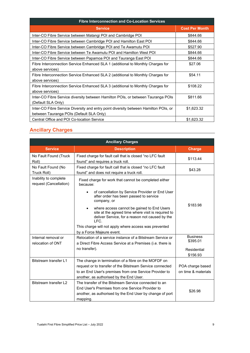| <b>Fibre Interconnection and Co-Location Services</b>                                |                       |  |
|--------------------------------------------------------------------------------------|-----------------------|--|
| <b>Service</b>                                                                       | <b>Cost Per Month</b> |  |
| Inter-CO Fibre Service between Matangi POI and Cambridge POI                         | \$844.66              |  |
| Inter-CO Fibre Service between Cambridge POI and Hamilton East POI                   | \$844.66              |  |
| Inter-CO Fibre Service between Cambridge POI and Te Awamutu POI                      | \$527.90              |  |
| Inter-CO Fibre Service between Te Awamutu POI and Hamilton West POI                  | \$844.66              |  |
| Inter-CO Fibre Service between Papamoa POI and Tauranga East POI                     | \$844.66              |  |
| Fibre Interconnection Service Enhanced SLA 1 (additional to Monthly Charges for      | \$27.06               |  |
| above services)                                                                      |                       |  |
| Fibre Interconnection Service Enhanced SLA 2 (additional to Monthly Charges for      | \$54.11               |  |
| above services)                                                                      |                       |  |
| Fibre Interconnection Service Enhanced SLA 3 (additional to Monthly Charges for      | \$108.22              |  |
| above services)                                                                      |                       |  |
| Inter-CO Fibre Service diversity between Hamilton POIs, or between Tauranga POIs     | \$811.66              |  |
| (Default SLA Only)                                                                   |                       |  |
| Inter-CO Fibre Service Diversity and entry point diversity between Hamilton POIs, or | \$1,623.32            |  |
| between Tauranga POIs (Default SLA Only)                                             |                       |  |
| Central Office and POI Co-location Service                                           | \$1,623.32            |  |

#### <span id="page-8-0"></span>**Ancillary Charges**

| <b>Ancillary Charges</b>                        |                                                                                                                                                                                                                                                                                                                                                                                                                                                 |                                                        |  |
|-------------------------------------------------|-------------------------------------------------------------------------------------------------------------------------------------------------------------------------------------------------------------------------------------------------------------------------------------------------------------------------------------------------------------------------------------------------------------------------------------------------|--------------------------------------------------------|--|
| <b>Service</b>                                  | <b>Description</b>                                                                                                                                                                                                                                                                                                                                                                                                                              | <b>Charge</b>                                          |  |
| No Fault Found (Truck<br>Roll)                  | Fixed charge for fault call that is closed "no LFC fault<br>found" and requires a truck roll.                                                                                                                                                                                                                                                                                                                                                   | \$113.44                                               |  |
| No Fault Found (No<br>Truck Roll)               | Fixed charge for fault call that is closed "no LFC fault<br>found" and does not require a truck roll.                                                                                                                                                                                                                                                                                                                                           | \$43.28                                                |  |
| Inability to complete<br>request (Cancellation) | Fixed charge for work that cannot be completed either<br>because:<br>of cancellation by Service Provider or End User<br>after order has been passed to service<br>company, or<br>where access cannot be gained to End Users<br>$\bullet$<br>site at the agreed time where visit is required to<br>deliver Service, for a reason not caused by the<br>LFC.<br>This charge will not apply where access was prevented<br>by a Force Majeure event. | \$183.98                                               |  |
| Internal removal or<br>relocation of ONT        | Relocation of a service instance of a Bitstream Service or<br>a Direct Fibre Access Service at a Premises (i.e. there is<br>no transfer).                                                                                                                                                                                                                                                                                                       | <b>Business</b><br>\$395.01<br>Residential<br>\$156.93 |  |
| Bitstream transfer L1                           | The change in termination of a fibre on the MOFDF on<br>request or to transfer of the Bitstream Service connected<br>to an End User's premises from one Service Provider to<br>another, as authorised by the End User.                                                                                                                                                                                                                          | POA charge based<br>on time & materials                |  |
| Bitstream transfer L2                           | The transfer of the Bitstream Service connected to an<br>End User's Premises from one Service Provider to<br>another, as authorised by the End User by change of port<br>mapping.                                                                                                                                                                                                                                                               | \$26.98                                                |  |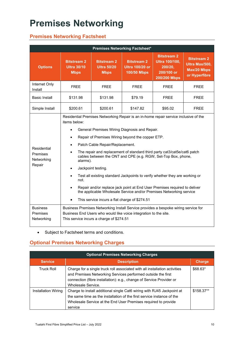## <span id="page-9-0"></span>**Premises Networking**

#### <span id="page-9-1"></span>**Premises Networking Factsheet**

| <b>Premises Networking Factsheet*</b>           |                                                                                                                                                                                                                                                                                                                                                                                                                                                                                                                                                                                                                                                                                                                                                                                               |                                                         |                                                                                                                                                        |                                                                                      |                                                                             |
|-------------------------------------------------|-----------------------------------------------------------------------------------------------------------------------------------------------------------------------------------------------------------------------------------------------------------------------------------------------------------------------------------------------------------------------------------------------------------------------------------------------------------------------------------------------------------------------------------------------------------------------------------------------------------------------------------------------------------------------------------------------------------------------------------------------------------------------------------------------|---------------------------------------------------------|--------------------------------------------------------------------------------------------------------------------------------------------------------|--------------------------------------------------------------------------------------|-----------------------------------------------------------------------------|
| <b>Options</b>                                  | <b>Bitstream 2</b><br><b>Ultra 30/10</b><br><b>Mbps</b>                                                                                                                                                                                                                                                                                                                                                                                                                                                                                                                                                                                                                                                                                                                                       | <b>Bitstream 2</b><br><b>Ultra 50/20</b><br><b>Mbps</b> | <b>Bitstream 2</b><br>Ultra 100/20 or<br><b>100/50 Mbps</b>                                                                                            | <b>Bitstream 2</b><br><b>Ultra 100/100,</b><br>200/20,<br>200/100 or<br>200/200 Mbps | <b>Bitstream 2</b><br>Ultra Max/500,<br><b>Max/20 Mbps</b><br>or Hyperfibre |
| Internet Only<br>Install                        | <b>FREE</b>                                                                                                                                                                                                                                                                                                                                                                                                                                                                                                                                                                                                                                                                                                                                                                                   | <b>FREE</b>                                             | <b>FREE</b>                                                                                                                                            | <b>FREE</b>                                                                          | <b>FREE</b>                                                                 |
| <b>Basic Install</b>                            | \$131.98                                                                                                                                                                                                                                                                                                                                                                                                                                                                                                                                                                                                                                                                                                                                                                                      | \$131.98                                                | \$79.19                                                                                                                                                | <b>FREE</b>                                                                          | <b>FREE</b>                                                                 |
| Simple Install                                  | \$200.61                                                                                                                                                                                                                                                                                                                                                                                                                                                                                                                                                                                                                                                                                                                                                                                      | \$200.61                                                | \$147.82                                                                                                                                               | \$95.02                                                                              | <b>FREE</b>                                                                 |
| Residential<br>Premises<br>Networking<br>Repair | Residential Premises Networking Repair is an in-home repair service inclusive of the<br>items below:<br>General Premises Wiring Diagnosis and Repair.<br>$\bullet$<br>Repair of Premises Wiring beyond the copper ETP.<br>٠<br>Patch Cable Repair/Replacement.<br>$\bullet$<br>The repair and replacement of standard third party cat3/cat5e/cat6 patch<br>$\bullet$<br>cables between the ONT and CPE (e.g. RGW, Set-Top Box, phone,<br>alarms).<br>Jackpoint testing.<br>$\bullet$<br>Test all existing standard Jackpoints to verify whether they are working or<br>$\bullet$<br>not.<br>Repair and/or replace jack point at End User Premises required to deliver<br>the applicable Wholesale Service and/or Premises Networking service<br>This service incurs a flat charge of \$274.51 |                                                         |                                                                                                                                                        |                                                                                      |                                                                             |
| <b>Business</b><br>Premises<br>Networking       |                                                                                                                                                                                                                                                                                                                                                                                                                                                                                                                                                                                                                                                                                                                                                                                               | This service incurs a charge of \$274.51                | Business Premises Networking Install Service provides a bespoke wiring service for<br>Business End Users who would like voice integration to the site. |                                                                                      |                                                                             |

• Subject to Factsheet terms and conditions.

#### <span id="page-9-2"></span>**Optional Premises Networking Charges**

| <b>Optional Premises Networking Charges</b> |                                                                                                                                                                                                                                          |               |  |
|---------------------------------------------|------------------------------------------------------------------------------------------------------------------------------------------------------------------------------------------------------------------------------------------|---------------|--|
| <b>Service</b>                              | <b>Description</b>                                                                                                                                                                                                                       | <b>Charge</b> |  |
| <b>Truck Roll</b>                           | Charge for a single truck roll associated with all installation activities<br>and Premises Networking Services performed outside the first<br>connection (fibre installation): e.g., change of Service Provider or<br>Wholesale Service. | \$68.63*      |  |
| Installation Wiring                         | Charge to install additional single Cat6 wiring with RJ45 Jackpoint at<br>the same time as the installation of the first service instance of the<br>Wholesale Service at the End User Premises required to provide<br>service            | \$158.37**    |  |